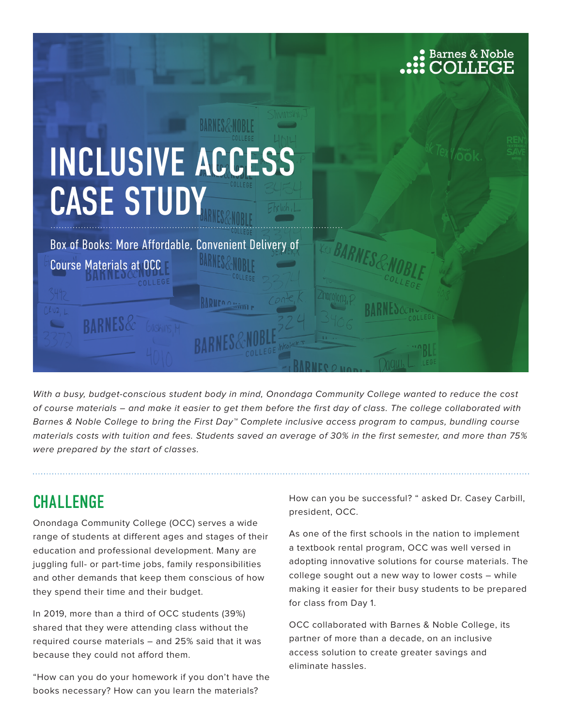

With a busy, budget-conscious student body in mind, Onondaga Community College wanted to reduce the cost of course materials – and make it easier to get them before the first day of class. The college collaborated with Barnes & Noble College to bring the First Day™ Complete inclusive access program to campus, bundling course materials costs with tuition and fees. Students saved an average of 30% in the first semester, and more than 75% were prepared by the start of classes.

### **CHALLENGE**

Onondaga Community College (OCC) serves a wide range of students at different ages and stages of their education and professional development. Many are juggling full- or part-time jobs, family responsibilities and other demands that keep them conscious of how they spend their time and their budget.

In 2019, more than a third of OCC students (39%) shared that they were attending class without the required course materials – and 25% said that it was because they could not afford them.

"How can you do your homework if you don't have the books necessary? How can you learn the materials?

How can you be successful? " asked Dr. Casey Carbill, president, OCC.

As one of the first schools in the nation to implement a textbook rental program, OCC was well versed in adopting innovative solutions for course materials. The college sought out a new way to lower costs – while making it easier for their busy students to be prepared for class from Day 1.

OCC collaborated with Barnes & Noble College, its partner of more than a decade, on an inclusive access solution to create greater savings and eliminate hassles.